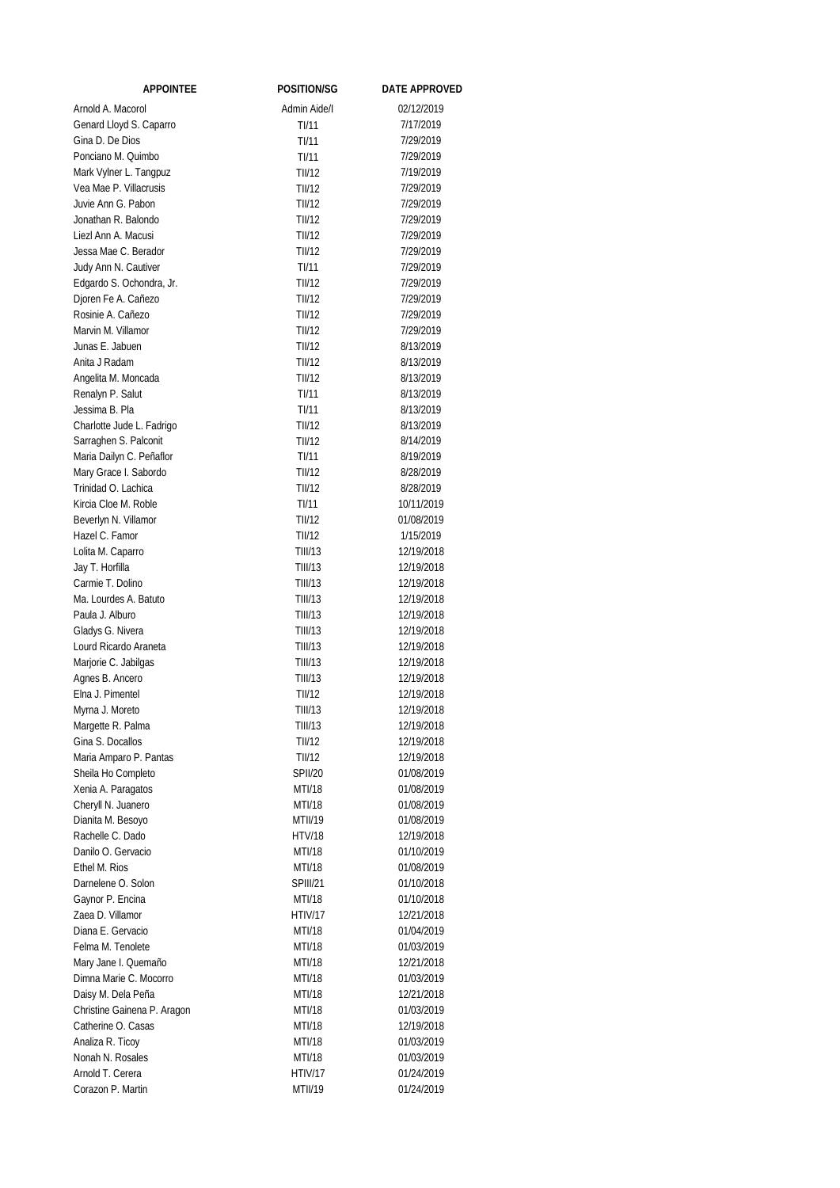| <b>APPOINTEE</b>                       | <b>POSITION/SG</b> | <b>DATE APPROVED</b>     |
|----------------------------------------|--------------------|--------------------------|
| Arnold A. Macorol                      | Admin Aide/I       | 02/12/2019               |
| Genard Lloyd S. Caparro                | TI/11              | 7/17/2019                |
| Gina D. De Dios                        | TI/11              | 7/29/2019                |
| Ponciano M. Quimbo                     | TI/11              | 7/29/2019                |
| Mark Vylner L. Tangpuz                 | TII/12             | 7/19/2019                |
| Vea Mae P. Villacrusis                 | TII/12             | 7/29/2019                |
| Juvie Ann G. Pabon                     | TII/12             | 7/29/2019                |
| Jonathan R. Balondo                    | TII/12             | 7/29/2019                |
| Liezl Ann A. Macusi                    | TII/12             | 7/29/2019                |
| Jessa Mae C. Berador                   | TII/12             | 7/29/2019                |
| Judy Ann N. Cautiver                   | TI/11              | 7/29/2019                |
| Edgardo S. Ochondra, Jr.               | TII/12             | 7/29/2019                |
| Djoren Fe A. Cañezo                    | TII/12             | 7/29/2019                |
| Rosinie A. Cañezo                      | TII/12             | 7/29/2019                |
| Marvin M. Villamor                     | TII/12             | 7/29/2019                |
| Junas E. Jabuen                        | TII/12             | 8/13/2019                |
| Anita J Radam                          | TII/12             | 8/13/2019                |
| Angelita M. Moncada                    | TII/12             | 8/13/2019                |
| Renalyn P. Salut<br>Jessima B. Pla     | TI/11<br>TI/11     | 8/13/2019<br>8/13/2019   |
| Charlotte Jude L. Fadrigo              | TII/12             | 8/13/2019                |
| Sarraghen S. Palconit                  | TII/12             | 8/14/2019                |
| Maria Dailyn C. Peñaflor               | TI/11              | 8/19/2019                |
| Mary Grace I. Sabordo                  | TII/12             | 8/28/2019                |
| Trinidad O. Lachica                    | TII/12             | 8/28/2019                |
| Kircia Cloe M. Roble                   | TI/11              | 10/11/2019               |
| Beverlyn N. Villamor                   | TII/12             | 01/08/2019               |
| Hazel C. Famor                         | TII/12             | 1/15/2019                |
| Lolita M. Caparro                      | <b>TIII/13</b>     | 12/19/2018               |
| Jay T. Horfilla                        | <b>TIII/13</b>     | 12/19/2018               |
| Carmie T. Dolino                       | <b>TIII/13</b>     | 12/19/2018               |
| Ma. Lourdes A. Batuto                  | <b>TIII/13</b>     | 12/19/2018               |
| Paula J. Alburo                        | <b>TIII/13</b>     | 12/19/2018               |
| Gladys G. Nivera                       | TIII/13            | 12/19/2018               |
| Lourd Ricardo Araneta                  | TIII/13            | 12/19/2018               |
| Marjorie C. Jabilgas                   | TIII/13            | 12/19/2018               |
| Agnes B. Ancero                        | TIII/13            | 12/19/2018               |
| Elna J. Pimentel                       | TII/12             | 12/19/2018               |
| Myrna J. Moreto                        | TIII/13            | 12/19/2018               |
| Margette R. Palma                      | TIII/13            | 12/19/2018               |
| Gina S. Docallos                       | TII/12             | 12/19/2018               |
| Maria Amparo P. Pantas                 | TII/12             | 12/19/2018               |
| Sheila Ho Completo                     | <b>SPII/20</b>     | 01/08/2019               |
| Xenia A. Paragatos                     | MTI/18             | 01/08/2019               |
| Cheryll N. Juanero                     | MTI/18             | 01/08/2019               |
| Dianita M. Besoyo                      | <b>MTII/19</b>     | 01/08/2019               |
| Rachelle C. Dado<br>Danilo O. Gervacio | <b>HTV/18</b>      | 12/19/2018               |
| Ethel M. Rios                          | MTI/18<br>MTI/18   | 01/10/2019<br>01/08/2019 |
| Darnelene O. Solon                     | <b>SPIII/21</b>    | 01/10/2018               |
| Gaynor P. Encina                       | MTI/18             | 01/10/2018               |
| Zaea D. Villamor                       | HTIV/17            | 12/21/2018               |
| Diana E. Gervacio                      | MTI/18             | 01/04/2019               |
| Felma M. Tenolete                      | MTI/18             | 01/03/2019               |
| Mary Jane I. Quemaño                   | MTI/18             | 12/21/2018               |
| Dimna Marie C. Mocorro                 | MTI/18             | 01/03/2019               |
| Daisy M. Dela Peña                     | MTI/18             | 12/21/2018               |
| Christine Gainena P. Aragon            | MTI/18             | 01/03/2019               |
| Catherine O. Casas                     | MTI/18             | 12/19/2018               |
| Analiza R. Ticoy                       | MTI/18             | 01/03/2019               |
| Nonah N. Rosales                       | MTI/18             | 01/03/2019               |
| Arnold T. Cerera                       | HTIV/17            | 01/24/2019               |
| Corazon P. Martin                      | MTII/19            | 01/24/2019               |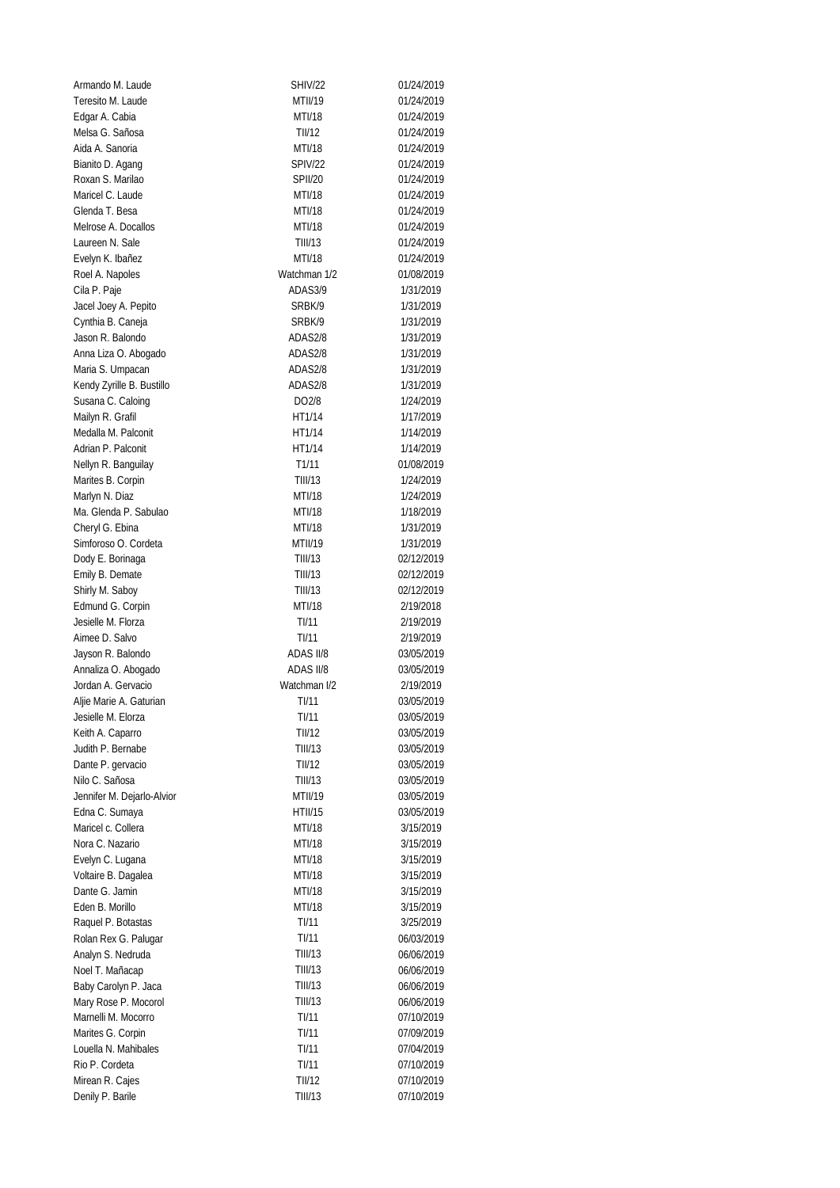| Armando M. Laude           | <b>SHIV/22</b>     | 01/24/2019 |
|----------------------------|--------------------|------------|
| Teresito M. Laude          | MTII/19            | 01/24/2019 |
| Edgar A. Cabia             | MTI/18             | 01/24/2019 |
| Melsa G. Sañosa            | TII/12             | 01/24/2019 |
| Aida A. Sanoria            | MTI/18             | 01/24/2019 |
| Bianito D. Agang           | <b>SPIV/22</b>     | 01/24/2019 |
| Roxan S. Marilao           | <b>SPII/20</b>     | 01/24/2019 |
| Maricel C. Laude           | MTI/18             | 01/24/2019 |
| Glenda T. Besa             | <b>MTI/18</b>      | 01/24/2019 |
| Melrose A. Docallos        | MTI/18             | 01/24/2019 |
| Laureen N. Sale            | TIII/13            | 01/24/2019 |
| Evelyn K. Ibañez           | <b>MTI/18</b>      | 01/24/2019 |
| Roel A. Napoles            | Watchman 1/2       | 01/08/2019 |
| Cila P. Paje               | ADAS3/9            | 1/31/2019  |
| Jacel Joey A. Pepito       | SRBK/9             | 1/31/2019  |
| Cynthia B. Caneja          | SRBK/9             | 1/31/2019  |
| Jason R. Balondo           | ADAS2/8            | 1/31/2019  |
| Anna Liza O. Abogado       | ADAS2/8            | 1/31/2019  |
| Maria S. Umpacan           | ADAS2/8            | 1/31/2019  |
| Kendy Zyrille B. Bustillo  | ADAS2/8            | 1/31/2019  |
| Susana C. Caloing          | DO <sub>2</sub> /8 | 1/24/2019  |
| Mailyn R. Grafil           | HT1/14             | 1/17/2019  |
| Medalla M. Palconit        | HT1/14             | 1/14/2019  |
| Adrian P. Palconit         | HT1/14             | 1/14/2019  |
| Nellyn R. Banguilay        | T <sub>1</sub> /11 | 01/08/2019 |
| Marites B. Corpin          | TIII/13            | 1/24/2019  |
| Marlyn N. Diaz             | MTI/18             | 1/24/2019  |
| Ma. Glenda P. Sabulao      | MTI/18             | 1/18/2019  |
| Cheryl G. Ebina            | MTI/18             | 1/31/2019  |
| Simforoso O. Cordeta       | <b>MTII/19</b>     | 1/31/2019  |
| Dody E. Borinaga           | TIII/13            | 02/12/2019 |
| Emily B. Demate            | TIII/13            | 02/12/2019 |
| Shirly M. Saboy            | TIII/13            | 02/12/2019 |
| Edmund G. Corpin           | MTI/18             | 2/19/2018  |
| Jesielle M. Florza         | TI/11              | 2/19/2019  |
| Aimee D. Salvo             | TI/11              | 2/19/2019  |
| Jayson R. Balondo          | ADAS II/8          | 03/05/2019 |
| Annaliza O. Abogado        | ADAS II/8          | 03/05/2019 |
| Jordan A. Gervacio         | Watchman I/2       | 2/19/2019  |
| Aljie Marie A. Gaturian    | TI/11              | 03/05/2019 |
| Jesielle M. Elorza         | TI/11              | 03/05/2019 |
| Keith A. Caparro           | <b>TII/12</b>      | 03/05/2019 |
| Judith P. Bernabe          | <b>TIII/13</b>     | 03/05/2019 |
| Dante P. gervacio          | TII/12             | 03/05/2019 |
| Nilo C. Sañosa             | TIII/13            | 03/05/2019 |
| Jennifer M. Dejarlo-Alvior | MTII/19            | 03/05/2019 |
| Edna C. Sumaya             | <b>HTII/15</b>     | 03/05/2019 |
| Maricel c. Collera         | MTI/18             | 3/15/2019  |
| Nora C. Nazario            | MTI/18             | 3/15/2019  |
| Evelyn C. Lugana           | MTI/18             | 3/15/2019  |
| Voltaire B. Dagalea        | MTI/18             | 3/15/2019  |
| Dante G. Jamin             | MTI/18             | 3/15/2019  |
| Eden B. Morillo            | MTI/18             |            |
|                            | TI/11              | 3/15/2019  |
| Raquel P. Botastas         |                    | 3/25/2019  |
| Rolan Rex G. Palugar       | TI/11              | 06/03/2019 |
| Analyn S. Nedruda          | TIII/13            | 06/06/2019 |
| Noel T. Mañacap            | TIII/13            | 06/06/2019 |
| Baby Carolyn P. Jaca       | TIII/13            | 06/06/2019 |
| Mary Rose P. Mocorol       | TIII/13            | 06/06/2019 |
| Marnelli M. Mocorro        | TI/11              | 07/10/2019 |
| Marites G. Corpin          | TI/11              | 07/09/2019 |
| Louella N. Mahibales       | TI/11              | 07/04/2019 |
| Rio P. Cordeta             | TI/11              | 07/10/2019 |
| Mirean R. Cajes            | TII/12             | 07/10/2019 |
| Denily P. Barile           | TIII/13            | 07/10/2019 |
|                            |                    |            |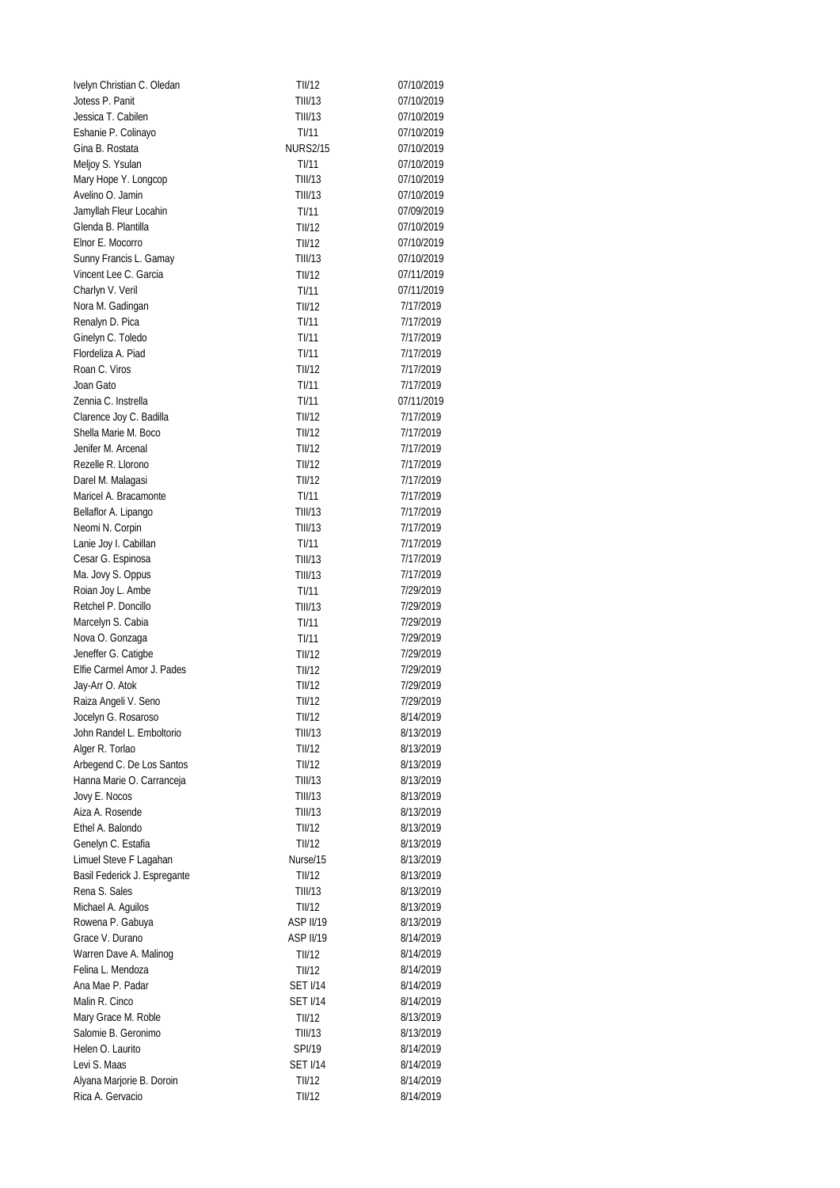| Ivelyn Christian C. Oledan             | TII/12           | 07/10/2019             |
|----------------------------------------|------------------|------------------------|
| Jotess P. Panit                        | <b>TIII/13</b>   | 07/10/2019             |
| Jessica T. Cabilen                     | <b>TIII/13</b>   | 07/10/2019             |
| Eshanie P. Colinayo                    | TI/11            | 07/10/2019             |
| Gina B. Rostata                        | <b>NURS2/15</b>  | 07/10/2019             |
| Meljoy S. Ysulan                       | TI/11            | 07/10/2019             |
| Mary Hope Y. Longcop                   | <b>TIII/13</b>   | 07/10/2019             |
| Avelino O. Jamin                       | <b>TIII/13</b>   | 07/10/2019             |
| Jamyllah Fleur Locahin                 | TI/11            | 07/09/2019             |
| Glenda B. Plantilla                    | TII/12           | 07/10/2019             |
| Elnor E. Mocorro                       | TII/12           | 07/10/2019             |
| Sunny Francis L. Gamay                 | <b>TIII/13</b>   | 07/10/2019             |
| Vincent Lee C. Garcia                  | TII/12           | 07/11/2019             |
| Charlyn V. Veril                       | TI/11            | 07/11/2019             |
| Nora M. Gadingan                       | TII/12           | 7/17/2019              |
| Renalyn D. Pica                        | TI/11            | 7/17/2019              |
| Ginelyn C. Toledo                      | TI/11            | 7/17/2019              |
| Flordeliza A. Piad                     | TI/11            | 7/17/2019              |
| Roan C. Viros                          | TII/12           | 7/17/2019              |
| Joan Gato                              | TI/11            | 7/17/2019              |
| Zennia C. Instrella                    | TI/11            | 07/11/2019             |
| Clarence Joy C. Badilla                | TII/12           | 7/17/2019              |
| Shella Marie M. Boco                   | TII/12           | 7/17/2019              |
| Jenifer M. Arcenal                     | TIII/12          | 7/17/2019              |
| Rezelle R. Llorono                     | TII/12           | 7/17/2019              |
| Darel M. Malagasi                      | TII/12           | 7/17/2019              |
| Maricel A. Bracamonte                  | TI/11            | 7/17/2019              |
| Bellaflor A. Lipango                   | <b>TIII/13</b>   | 7/17/2019              |
| Neomi N. Corpin                        | <b>TIII/13</b>   | 7/17/2019              |
| Lanie Joy I. Cabillan                  | TI/11            | 7/17/2019              |
| Cesar G. Espinosa                      | <b>TIII/13</b>   | 7/17/2019              |
| Ma. Jovy S. Oppus                      | TIII/13          | 7/17/2019              |
| Roian Joy L. Ambe                      | TI/11            | 7/29/2019              |
| Retchel P. Doncillo                    | <b>TIII/13</b>   | 7/29/2019              |
| Marcelyn S. Cabia                      | TI/11<br>TI/11   | 7/29/2019              |
| Nova O. Gonzaga<br>Jeneffer G. Catigbe |                  | 7/29/2019<br>7/29/2019 |
| Elfie Carmel Amor J. Pades             | TII/12<br>TII/12 | 7/29/2019              |
| Jay-Arr O. Atok                        | TII/12           | 7/29/2019              |
| Raiza Angeli V. Seno                   | TII/12           | 7/29/2019              |
| Jocelyn G. Rosaroso                    | TII/12           | 8/14/2019              |
| John Randel L. Emboltorio              | TIII/13          | 8/13/2019              |
| Alger R. Torlao                        | TII/12           | 8/13/2019              |
| Arbegend C. De Los Santos              | TII/12           | 8/13/2019              |
| Hanna Marie O. Carranceja              | <b>TIII/13</b>   | 8/13/2019              |
| Jovy E. Nocos                          | TIII/13          | 8/13/2019              |
| Aiza A. Rosende                        | TIII/13          | 8/13/2019              |
| Ethel A. Balondo                       | TII/12           | 8/13/2019              |
| Genelyn C. Estafia                     | TII/12           | 8/13/2019              |
| Limuel Steve F Lagahan                 | Nurse/15         | 8/13/2019              |
| Basil Federick J. Espregante           | TII/12           | 8/13/2019              |
| Rena S. Sales                          | <b>TIII/13</b>   | 8/13/2019              |
| Michael A. Aguilos                     | TII/12           | 8/13/2019              |
| Rowena P. Gabuya                       | <b>ASP II/19</b> | 8/13/2019              |
| Grace V. Durano                        | ASP II/19        | 8/14/2019              |
| Warren Dave A. Malinog                 | TII/12           | 8/14/2019              |
| Felina L. Mendoza                      | TII/12           | 8/14/2019              |
| Ana Mae P. Padar                       | <b>SET I/14</b>  | 8/14/2019              |
| Malin R. Cinco                         | <b>SET I/14</b>  | 8/14/2019              |
| Mary Grace M. Roble                    | TII/12           | 8/13/2019              |
| Salomie B. Geronimo                    | TIII/13          | 8/13/2019              |
| Helen O. Laurito                       | SPI/19           | 8/14/2019              |
| Levi S. Maas                           | <b>SET I/14</b>  | 8/14/2019              |
| Alyana Marjorie B. Doroin              | TII/12           | 8/14/2019              |
| Rica A. Gervacio                       | TII/12           | 8/14/2019              |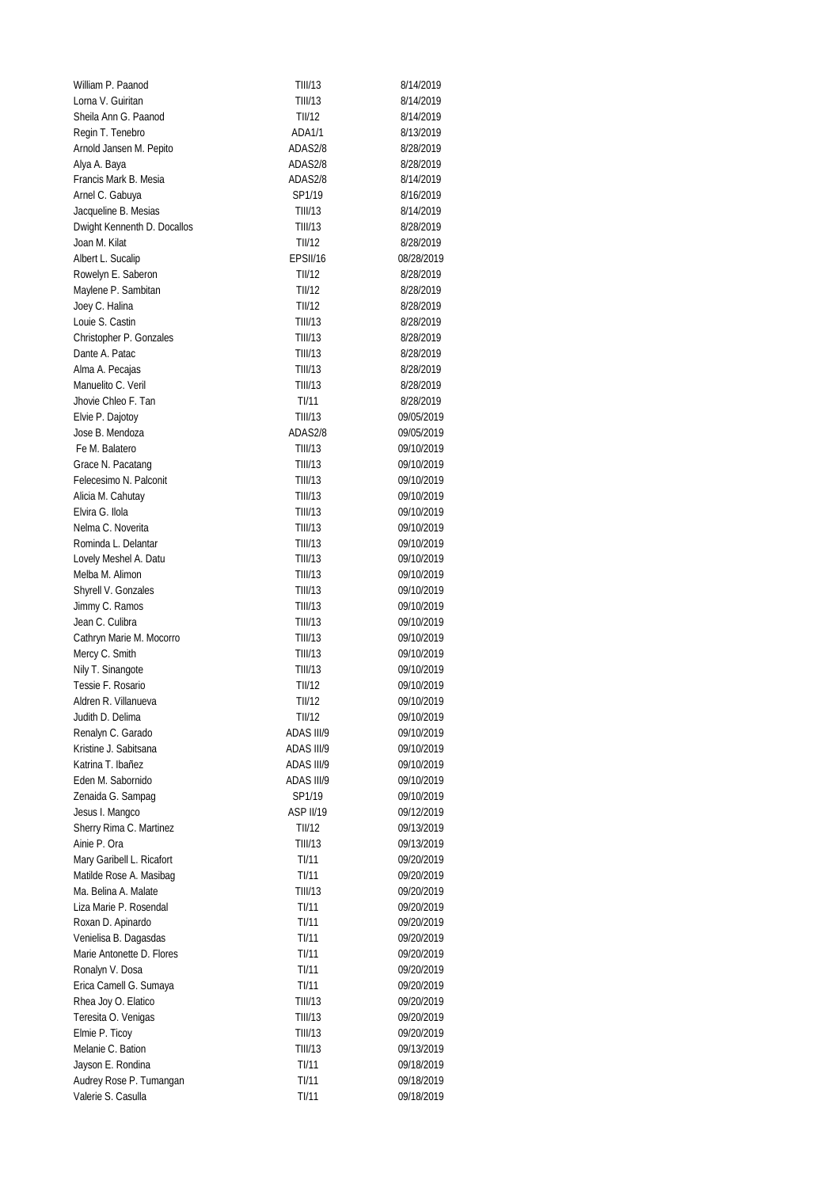| William P. Paanod                          | <b>TIII/13</b>                   | 8/14/2019                |
|--------------------------------------------|----------------------------------|--------------------------|
| Lorna V. Guiritan                          | <b>TIII/13</b>                   | 8/14/2019                |
| Sheila Ann G. Paanod                       | TII/12                           | 8/14/2019                |
| Regin T. Tenebro                           | ADA1/1                           | 8/13/2019                |
| Arnold Jansen M. Pepito                    | ADAS2/8                          | 8/28/2019                |
| Alya A. Baya                               | ADAS2/8                          | 8/28/2019                |
| Francis Mark B. Mesia                      | ADAS2/8                          | 8/14/2019                |
| Arnel C. Gabuya                            | SP1/19                           | 8/16/2019                |
| Jacqueline B. Mesias                       | <b>TIII/13</b>                   | 8/14/2019                |
| Dwight Kennenth D. Docallos                | <b>TIII/13</b>                   | 8/28/2019                |
| Joan M. Kilat                              | TII/12                           | 8/28/2019                |
| Albert L. Sucalip                          | EPSII/16                         | 08/28/2019               |
| Rowelyn E. Saberon                         | TII/12                           | 8/28/2019                |
| Maylene P. Sambitan                        | TII/12                           | 8/28/2019                |
| Joey C. Halina                             | TII/12                           | 8/28/2019                |
| Louie S. Castin                            | <b>TIII/13</b>                   | 8/28/2019                |
| Christopher P. Gonzales                    | <b>TIII/13</b>                   | 8/28/2019                |
| Dante A. Patac                             | TIII/13                          | 8/28/2019                |
| Alma A. Pecajas                            | TIII/13                          | 8/28/2019                |
| Manuelito C. Veril                         | TIII/13                          | 8/28/2019                |
| Jhovie Chleo F. Tan                        | TI/11                            | 8/28/2019                |
| Elvie P. Dajotoy                           | <b>TIII/13</b>                   | 09/05/2019               |
| Jose B. Mendoza                            | ADAS2/8                          | 09/05/2019               |
| Fe M. Balatero                             | <b>TIII/13</b>                   | 09/10/2019               |
| Grace N. Pacatang                          | <b>TIII/13</b>                   | 09/10/2019               |
| Felecesimo N. Palconit                     | <b>TIII/13</b>                   | 09/10/2019               |
| Alicia M. Cahutay                          | <b>TIII/13</b>                   | 09/10/2019               |
| Elvira G. Ilola                            | <b>TIII/13</b>                   | 09/10/2019               |
| Nelma C. Noverita                          | <b>TIII/13</b>                   | 09/10/2019               |
| Rominda L. Delantar                        | <b>TIII/13</b>                   | 09/10/2019               |
| Lovely Meshel A. Datu                      | TIII/13                          | 09/10/2019               |
| Melba M. Alimon                            | <b>TIII/13</b>                   | 09/10/2019               |
| Shyrell V. Gonzales                        | <b>TIII/13</b>                   | 09/10/2019               |
| Jimmy C. Ramos                             | <b>TIII/13</b>                   | 09/10/2019               |
| Jean C. Culibra                            | <b>TIII/13</b><br><b>TIII/13</b> | 09/10/2019               |
| Cathryn Marie M. Mocorro<br>Mercy C. Smith | <b>TIII/13</b>                   | 09/10/2019               |
|                                            |                                  | 09/10/2019               |
| Nily T. Sinangote<br>Tessie F. Rosario     | <b>TIII/13</b><br>TII/12         | 09/10/2019<br>09/10/2019 |
| Aldren R. Villanueva                       | TII/12                           | 09/10/2019               |
| Judith D. Delima                           | TII/12                           | 09/10/2019               |
| Renalyn C. Garado                          | ADAS III/9                       | 09/10/2019               |
| Kristine J. Sabitsana                      | ADAS III/9                       | 09/10/2019               |
| Katrina T. Ibañez                          | ADAS III/9                       | 09/10/2019               |
| Eden M. Sabornido                          | ADAS III/9                       | 09/10/2019               |
| Zenaida G. Sampag                          | SP1/19                           | 09/10/2019               |
| Jesus I. Mangco                            | <b>ASP II/19</b>                 | 09/12/2019               |
| Sherry Rima C. Martinez                    | TII/12                           | 09/13/2019               |
| Ainie P. Ora                               | TIII/13                          | 09/13/2019               |
| Mary Garibell L. Ricafort                  | TI/11                            | 09/20/2019               |
| Matilde Rose A. Masibag                    | TI/11                            | 09/20/2019               |
| Ma. Belina A. Malate                       | TIII/13                          | 09/20/2019               |
| Liza Marie P. Rosendal                     | TI/11                            | 09/20/2019               |
| Roxan D. Apinardo                          | TI/11                            | 09/20/2019               |
| Venielisa B. Dagasdas                      | TI/11                            | 09/20/2019               |
| Marie Antonette D. Flores                  | TI/11                            | 09/20/2019               |
| Ronalyn V. Dosa                            | TI/11                            | 09/20/2019               |
| Erica Camell G. Sumaya                     | TI/11                            | 09/20/2019               |
| Rhea Joy O. Elatico                        | TIII/13                          | 09/20/2019               |
| Teresita O. Venigas                        | TIII/13                          | 09/20/2019               |
| Elmie P. Ticoy                             | TIII/13                          | 09/20/2019               |
| Melanie C. Bation                          | TIII/13                          | 09/13/2019               |
| Jayson E. Rondina                          | TI/11                            | 09/18/2019               |
| Audrey Rose P. Tumangan                    | TI/11                            | 09/18/2019               |
| Valerie S. Casulla                         | TI/11                            | 09/18/2019               |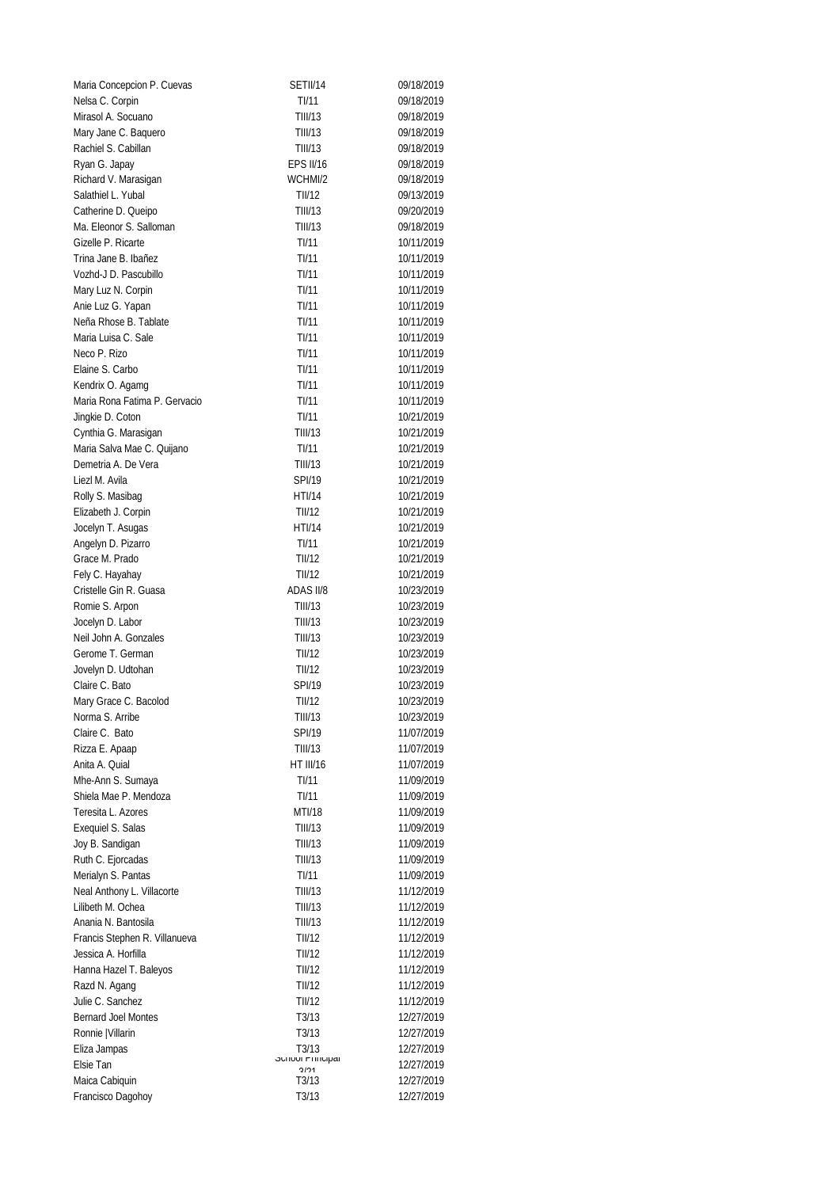| Maria Concepcion P. Cuevas                  | SETII/14                 | 09/18/2019               |
|---------------------------------------------|--------------------------|--------------------------|
| Nelsa C. Corpin                             | TI/11                    | 09/18/2019               |
| Mirasol A. Socuano                          | TIII/13                  | 09/18/2019               |
| Mary Jane C. Baquero                        | TIII/13                  | 09/18/2019               |
| Rachiel S. Cabillan                         | TIII/13                  | 09/18/2019               |
| Ryan G. Japay                               | <b>EPS II/16</b>         | 09/18/2019               |
| Richard V. Marasigan                        | WCHMI/2                  | 09/18/2019               |
| Salathiel L. Yubal                          | TII/12                   | 09/13/2019               |
| Catherine D. Queipo                         | TIII/13                  | 09/20/2019               |
| Ma. Eleonor S. Salloman                     | TIII/13                  | 09/18/2019               |
| Gizelle P. Ricarte                          | TI/11                    | 10/11/2019               |
| Trina Jane B. Ibañez                        | TI/11                    | 10/11/2019               |
| Vozhd-J D. Pascubillo                       | TI/11                    | 10/11/2019               |
| Mary Luz N. Corpin                          | TI/11                    | 10/11/2019               |
| Anie Luz G. Yapan                           | TI/11                    | 10/11/2019               |
| Neña Rhose B. Tablate                       | TI/11                    | 10/11/2019               |
| Maria Luisa C. Sale                         | TI/11                    | 10/11/2019               |
| Neco P. Rizo                                | TI/11                    | 10/11/2019               |
| Elaine S. Carbo                             | TI/11                    | 10/11/2019               |
| Kendrix O. Agamg                            | TI/11                    | 10/11/2019               |
| Maria Rona Fatima P. Gervacio               | TI/11                    | 10/11/2019               |
| Jingkie D. Coton                            | TI/11                    | 10/21/2019               |
| Cynthia G. Marasigan                        | TIII/13                  | 10/21/2019               |
| Maria Salva Mae C. Quijano                  | TI/11                    | 10/21/2019               |
| Demetria A. De Vera                         | TIII/13                  | 10/21/2019               |
| Liezl M. Avila                              | <b>SPI/19</b>            | 10/21/2019               |
| Rolly S. Masibag                            | HTI/14                   | 10/21/2019               |
| Elizabeth J. Corpin                         | TII/12                   | 10/21/2019               |
| Jocelyn T. Asugas                           | HTI/14                   | 10/21/2019               |
| Angelyn D. Pizarro                          | TI/11                    | 10/21/2019               |
| Grace M. Prado                              | TII/12                   | 10/21/2019               |
| Fely C. Hayahay                             | TII/12                   | 10/21/2019               |
| Cristelle Gin R. Guasa                      | ADAS II/8                | 10/23/2019               |
| Romie S. Arpon                              | TIII/13                  | 10/23/2019               |
| Jocelyn D. Labor                            | TIII/13                  | 10/23/2019               |
| Neil John A. Gonzales                       | TIII/13                  | 10/23/2019               |
| Gerome T. German                            | TII/12                   | 10/23/2019               |
| Jovelyn D. Udtohan                          | TII/12                   | 10/23/2019               |
| Claire C. Bato                              | <b>SPI/19</b>            | 10/23/2019               |
| Mary Grace C. Bacolod                       | TII/12                   | 10/23/2019               |
| Norma S. Arribe                             | TIII/13                  | 10/23/2019               |
| Claire C. Bato                              | SPI/19                   | 11/07/2019               |
| Rizza E. Apaap                              | TIII/13                  | 11/07/2019               |
| Anita A. Quial                              | <b>HT III/16</b>         | 11/07/2019               |
| Mhe-Ann S. Sumaya                           | TI/11                    | 11/09/2019               |
| Shiela Mae P. Mendoza<br>Teresita L. Azores | TI/11                    | 11/09/2019               |
|                                             | MTI/18                   | 11/09/2019               |
| Exequiel S. Salas                           | TIII/13                  | 11/09/2019               |
| Joy B. Sandigan                             | TIII/13                  | 11/09/2019               |
| Ruth C. Ejorcadas<br>Merialyn S. Pantas     | TIII/13<br>TI/11         | 11/09/2019<br>11/09/2019 |
| Neal Anthony L. Villacorte                  | TIII/13                  | 11/12/2019               |
| Lilibeth M. Ochea                           | TIII/13                  | 11/12/2019               |
| Anania N. Bantosila                         | TIII/13                  | 11/12/2019               |
| Francis Stephen R. Villanueva               | TII/12                   | 11/12/2019               |
| Jessica A. Horfilla                         | TII/12                   |                          |
| Hanna Hazel T. Baleyos                      | TII/12                   | 11/12/2019<br>11/12/2019 |
|                                             | TII/12                   | 11/12/2019               |
| Razd N. Agang<br>Julie C. Sanchez           | TII/12                   | 11/12/2019               |
| <b>Bernard Joel Montes</b>                  | T3/13                    | 12/27/2019               |
| Ronnie   Villarin                           | T3/13                    | 12/27/2019               |
| Eliza Jampas                                | T3/13                    | 12/27/2019               |
| Elsie Tan                                   | <b>JUIUUI FIIIIUIDAI</b> | 12/27/2019               |
| Maica Cabiquin                              | 2121<br>T3/13            | 12/27/2019               |
| Francisco Dagohoy                           | T3/13                    | 12/27/2019               |
|                                             |                          |                          |